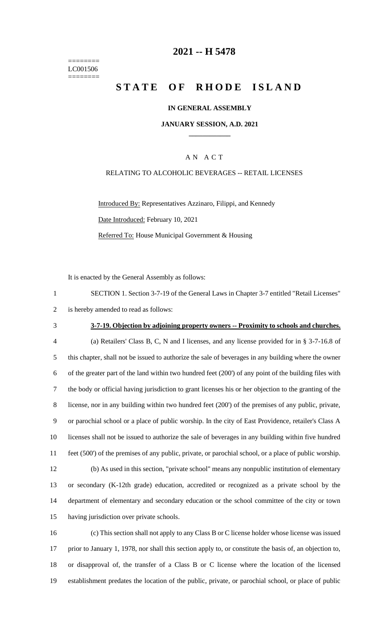======== LC001506 ========

## **-- H 5478**

# **STATE OF RHODE ISLAND**

### **IN GENERAL ASSEMBLY**

#### **JANUARY SESSION, A.D. 2021 \_\_\_\_\_\_\_\_\_\_\_\_**

### A N A C T

#### RELATING TO ALCOHOLIC BEVERAGES -- RETAIL LICENSES

Introduced By: Representatives Azzinaro, Filippi, and Kennedy Date Introduced: February 10, 2021 Referred To: House Municipal Government & Housing

It is enacted by the General Assembly as follows:

| SECTION 1. Section 3-7-19 of the General Laws in Chapter 3-7 entitled "Retail Licenses" |
|-----------------------------------------------------------------------------------------|
| 2 is hereby amended to read as follows:                                                 |

## **3-7-19. Objection by adjoining property owners -- Proximity to schools and churches.**

 (a) Retailers' Class B, C, N and I licenses, and any license provided for in § 3-7-16.8 of this chapter, shall not be issued to authorize the sale of beverages in any building where the owner of the greater part of the land within two hundred feet (200') of any point of the building files with the body or official having jurisdiction to grant licenses his or her objection to the granting of the license, nor in any building within two hundred feet (200') of the premises of any public, private, or parochial school or a place of public worship. In the city of East Providence, retailer's Class A licenses shall not be issued to authorize the sale of beverages in any building within five hundred feet (500') of the premises of any public, private, or parochial school, or a place of public worship. (b) As used in this section, "private school" means any nonpublic institution of elementary or secondary (K-12th grade) education, accredited or recognized as a private school by the department of elementary and secondary education or the school committee of the city or town having jurisdiction over private schools.

 (c) This section shall not apply to any Class B or C license holder whose license was issued prior to January 1, 1978, nor shall this section apply to, or constitute the basis of, an objection to, or disapproval of, the transfer of a Class B or C license where the location of the licensed establishment predates the location of the public, private, or parochial school, or place of public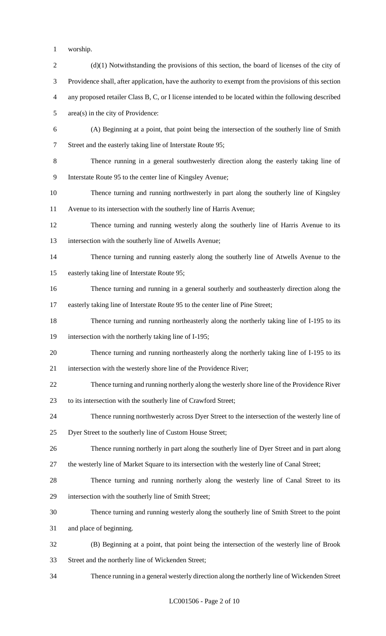- worship.
- 2 (d)(1) Notwithstanding the provisions of this section, the board of licenses of the city of Providence shall, after application, have the authority to exempt from the provisions of this section any proposed retailer Class B, C, or I license intended to be located within the following described area(s) in the city of Providence: (A) Beginning at a point, that point being the intersection of the southerly line of Smith Street and the easterly taking line of Interstate Route 95; Thence running in a general southwesterly direction along the easterly taking line of Interstate Route 95 to the center line of Kingsley Avenue; Thence turning and running northwesterly in part along the southerly line of Kingsley Avenue to its intersection with the southerly line of Harris Avenue; Thence turning and running westerly along the southerly line of Harris Avenue to its intersection with the southerly line of Atwells Avenue; Thence turning and running easterly along the southerly line of Atwells Avenue to the easterly taking line of Interstate Route 95; Thence turning and running in a general southerly and southeasterly direction along the easterly taking line of Interstate Route 95 to the center line of Pine Street; Thence turning and running northeasterly along the northerly taking line of I-195 to its intersection with the northerly taking line of I-195; Thence turning and running northeasterly along the northerly taking line of I-195 to its intersection with the westerly shore line of the Providence River; Thence turning and running northerly along the westerly shore line of the Providence River to its intersection with the southerly line of Crawford Street; Thence running northwesterly across Dyer Street to the intersection of the westerly line of Dyer Street to the southerly line of Custom House Street; Thence running northerly in part along the southerly line of Dyer Street and in part along the westerly line of Market Square to its intersection with the westerly line of Canal Street; Thence turning and running northerly along the westerly line of Canal Street to its intersection with the southerly line of Smith Street; Thence turning and running westerly along the southerly line of Smith Street to the point and place of beginning. (B) Beginning at a point, that point being the intersection of the westerly line of Brook Street and the northerly line of Wickenden Street; Thence running in a general westerly direction along the northerly line of Wickenden Street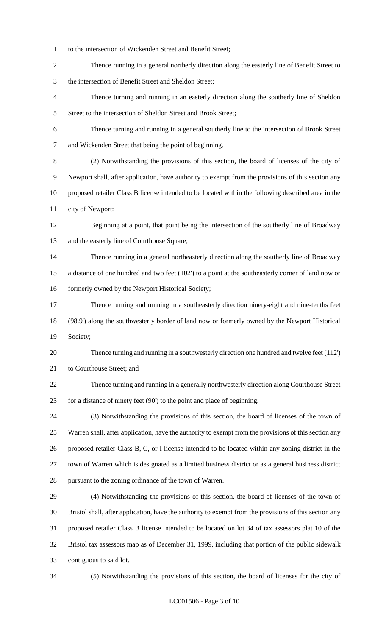- to the intersection of Wickenden Street and Benefit Street;
- Thence running in a general northerly direction along the easterly line of Benefit Street to the intersection of Benefit Street and Sheldon Street;
- Thence turning and running in an easterly direction along the southerly line of Sheldon 5 Street to the intersection of Sheldon Street and Brook Street;
- Thence turning and running in a general southerly line to the intersection of Brook Street and Wickenden Street that being the point of beginning.
- (2) Notwithstanding the provisions of this section, the board of licenses of the city of Newport shall, after application, have authority to exempt from the provisions of this section any proposed retailer Class B license intended to be located within the following described area in the city of Newport:
- Beginning at a point, that point being the intersection of the southerly line of Broadway and the easterly line of Courthouse Square;
- Thence running in a general northeasterly direction along the southerly line of Broadway a distance of one hundred and two feet (102') to a point at the southeasterly corner of land now or 16 formerly owned by the Newport Historical Society;
- Thence turning and running in a southeasterly direction ninety-eight and nine-tenths feet (98.9') along the southwesterly border of land now or formerly owned by the Newport Historical Society;
- Thence turning and running in a southwesterly direction one hundred and twelve feet (112') to Courthouse Street; and
- Thence turning and running in a generally northwesterly direction along Courthouse Street for a distance of ninety feet (90') to the point and place of beginning.
- (3) Notwithstanding the provisions of this section, the board of licenses of the town of Warren shall, after application, have the authority to exempt from the provisions of this section any proposed retailer Class B, C, or I license intended to be located within any zoning district in the town of Warren which is designated as a limited business district or as a general business district pursuant to the zoning ordinance of the town of Warren.
- (4) Notwithstanding the provisions of this section, the board of licenses of the town of Bristol shall, after application, have the authority to exempt from the provisions of this section any proposed retailer Class B license intended to be located on lot 34 of tax assessors plat 10 of the Bristol tax assessors map as of December 31, 1999, including that portion of the public sidewalk contiguous to said lot.
- 

(5) Notwithstanding the provisions of this section, the board of licenses for the city of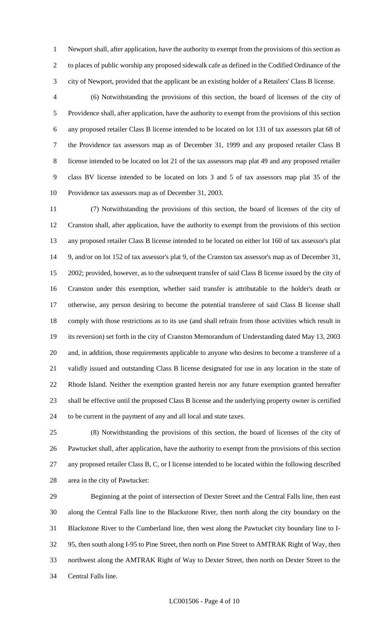Newport shall, after application, have the authority to exempt from the provisions of this section as to places of public worship any proposed sidewalk cafe as defined in the Codified Ordinance of the city of Newport, provided that the applicant be an existing holder of a Retailers' Class B license.

 (6) Notwithstanding the provisions of this section, the board of licenses of the city of Providence shall, after application, have the authority to exempt from the provisions of this section any proposed retailer Class B license intended to be located on lot 131 of tax assessors plat 68 of the Providence tax assessors map as of December 31, 1999 and any proposed retailer Class B license intended to be located on lot 21 of the tax assessors map plat 49 and any proposed retailer class BV license intended to be located on lots 3 and 5 of tax assessors map plat 35 of the Providence tax assessors map as of December 31, 2003.

 (7) Notwithstanding the provisions of this section, the board of licenses of the city of Cranston shall, after application, have the authority to exempt from the provisions of this section any proposed retailer Class B license intended to be located on either lot 160 of tax assessor's plat 9, and/or on lot 152 of tax assessor's plat 9, of the Cranston tax assessor's map as of December 31, 2002; provided, however, as to the subsequent transfer of said Class B license issued by the city of Cranston under this exemption, whether said transfer is attributable to the holder's death or otherwise, any person desiring to become the potential transferee of said Class B license shall comply with those restrictions as to its use (and shall refrain from those activities which result in its reversion) set forth in the city of Cranston Memorandum of Understanding dated May 13, 2003 and, in addition, those requirements applicable to anyone who desires to become a transferee of a validly issued and outstanding Class B license designated for use in any location in the state of Rhode Island. Neither the exemption granted herein nor any future exemption granted hereafter shall be effective until the proposed Class B license and the underlying property owner is certified to be current in the payment of any and all local and state taxes.

 (8) Notwithstanding the provisions of this section, the board of licenses of the city of Pawtucket shall, after application, have the authority to exempt from the provisions of this section any proposed retailer Class B, C, or I license intended to be located within the following described area in the city of Pawtucket:

 Beginning at the point of intersection of Dexter Street and the Central Falls line, then east along the Central Falls line to the Blackstone River, then north along the city boundary on the Blackstone River to the Cumberland line, then west along the Pawtucket city boundary line to I- 95, then south along I-95 to Pine Street, then north on Pine Street to AMTRAK Right of Way, then northwest along the AMTRAK Right of Way to Dexter Street, then north on Dexter Street to the Central Falls line.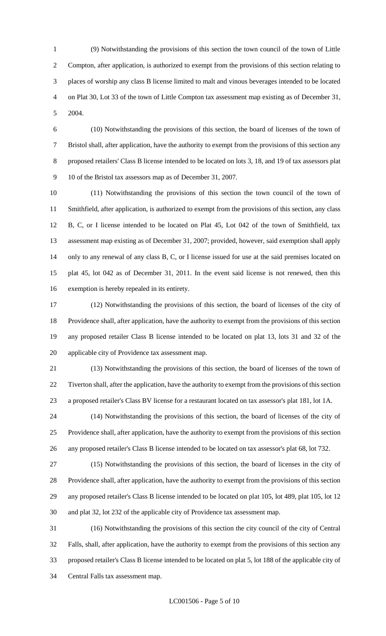(9) Notwithstanding the provisions of this section the town council of the town of Little Compton, after application, is authorized to exempt from the provisions of this section relating to places of worship any class B license limited to malt and vinous beverages intended to be located on Plat 30, Lot 33 of the town of Little Compton tax assessment map existing as of December 31, 2004.

 (10) Notwithstanding the provisions of this section, the board of licenses of the town of Bristol shall, after application, have the authority to exempt from the provisions of this section any proposed retailers' Class B license intended to be located on lots 3, 18, and 19 of tax assessors plat 10 of the Bristol tax assessors map as of December 31, 2007.

 (11) Notwithstanding the provisions of this section the town council of the town of Smithfield, after application, is authorized to exempt from the provisions of this section, any class B, C, or I license intended to be located on Plat 45, Lot 042 of the town of Smithfield, tax assessment map existing as of December 31, 2007; provided, however, said exemption shall apply only to any renewal of any class B, C, or I license issued for use at the said premises located on plat 45, lot 042 as of December 31, 2011. In the event said license is not renewed, then this exemption is hereby repealed in its entirety.

 (12) Notwithstanding the provisions of this section, the board of licenses of the city of Providence shall, after application, have the authority to exempt from the provisions of this section any proposed retailer Class B license intended to be located on plat 13, lots 31 and 32 of the applicable city of Providence tax assessment map.

 (13) Notwithstanding the provisions of this section, the board of licenses of the town of Tiverton shall, after the application, have the authority to exempt from the provisions of this section a proposed retailer's Class BV license for a restaurant located on tax assessor's plat 181, lot 1A.

 (14) Notwithstanding the provisions of this section, the board of licenses of the city of Providence shall, after application, have the authority to exempt from the provisions of this section any proposed retailer's Class B license intended to be located on tax assessor's plat 68, lot 732.

 (15) Notwithstanding the provisions of this section, the board of licenses in the city of Providence shall, after application, have the authority to exempt from the provisions of this section any proposed retailer's Class B license intended to be located on plat 105, lot 489, plat 105, lot 12 and plat 32, lot 232 of the applicable city of Providence tax assessment map.

 (16) Notwithstanding the provisions of this section the city council of the city of Central Falls, shall, after application, have the authority to exempt from the provisions of this section any proposed retailer's Class B license intended to be located on plat 5, lot 188 of the applicable city of Central Falls tax assessment map.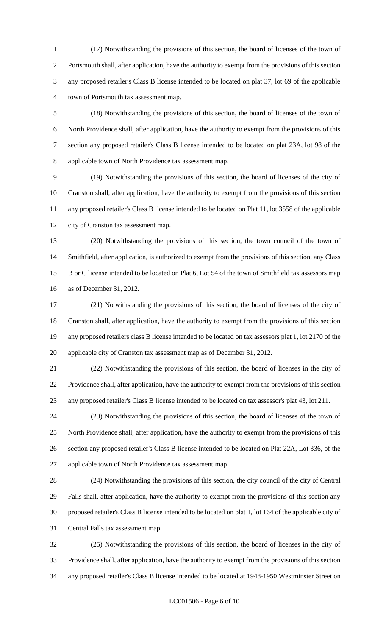(17) Notwithstanding the provisions of this section, the board of licenses of the town of Portsmouth shall, after application, have the authority to exempt from the provisions of this section any proposed retailer's Class B license intended to be located on plat 37, lot 69 of the applicable town of Portsmouth tax assessment map.

 (18) Notwithstanding the provisions of this section, the board of licenses of the town of North Providence shall, after application, have the authority to exempt from the provisions of this section any proposed retailer's Class B license intended to be located on plat 23A, lot 98 of the applicable town of North Providence tax assessment map.

 (19) Notwithstanding the provisions of this section, the board of licenses of the city of Cranston shall, after application, have the authority to exempt from the provisions of this section any proposed retailer's Class B license intended to be located on Plat 11, lot 3558 of the applicable city of Cranston tax assessment map.

 (20) Notwithstanding the provisions of this section, the town council of the town of Smithfield, after application, is authorized to exempt from the provisions of this section, any Class B or C license intended to be located on Plat 6, Lot 54 of the town of Smithfield tax assessors map as of December 31, 2012.

 (21) Notwithstanding the provisions of this section, the board of licenses of the city of Cranston shall, after application, have the authority to exempt from the provisions of this section any proposed retailers class B license intended to be located on tax assessors plat 1, lot 2170 of the applicable city of Cranston tax assessment map as of December 31, 2012.

 (22) Notwithstanding the provisions of this section, the board of licenses in the city of Providence shall, after application, have the authority to exempt from the provisions of this section any proposed retailer's Class B license intended to be located on tax assessor's plat 43, lot 211.

 (23) Notwithstanding the provisions of this section, the board of licenses of the town of North Providence shall, after application, have the authority to exempt from the provisions of this section any proposed retailer's Class B license intended to be located on Plat 22A, Lot 336, of the applicable town of North Providence tax assessment map.

 (24) Notwithstanding the provisions of this section, the city council of the city of Central Falls shall, after application, have the authority to exempt from the provisions of this section any proposed retailer's Class B license intended to be located on plat 1, lot 164 of the applicable city of Central Falls tax assessment map.

 (25) Notwithstanding the provisions of this section, the board of licenses in the city of Providence shall, after application, have the authority to exempt from the provisions of this section any proposed retailer's Class B license intended to be located at 1948-1950 Westminster Street on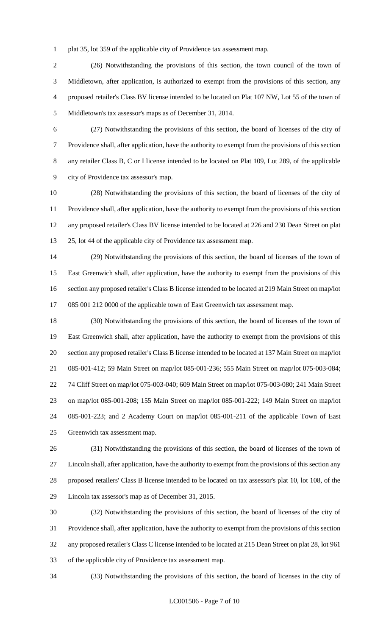plat 35, lot 359 of the applicable city of Providence tax assessment map.

 (26) Notwithstanding the provisions of this section, the town council of the town of Middletown, after application, is authorized to exempt from the provisions of this section, any proposed retailer's Class BV license intended to be located on Plat 107 NW, Lot 55 of the town of Middletown's tax assessor's maps as of December 31, 2014.

 (27) Notwithstanding the provisions of this section, the board of licenses of the city of Providence shall, after application, have the authority to exempt from the provisions of this section any retailer Class B, C or I license intended to be located on Plat 109, Lot 289, of the applicable city of Providence tax assessor's map.

 (28) Notwithstanding the provisions of this section, the board of licenses of the city of Providence shall, after application, have the authority to exempt from the provisions of this section any proposed retailer's Class BV license intended to be located at 226 and 230 Dean Street on plat 25, lot 44 of the applicable city of Providence tax assessment map.

 (29) Notwithstanding the provisions of this section, the board of licenses of the town of East Greenwich shall, after application, have the authority to exempt from the provisions of this section any proposed retailer's Class B license intended to be located at 219 Main Street on map/lot 085 001 212 0000 of the applicable town of East Greenwich tax assessment map.

 (30) Notwithstanding the provisions of this section, the board of licenses of the town of East Greenwich shall, after application, have the authority to exempt from the provisions of this section any proposed retailer's Class B license intended to be located at 137 Main Street on map/lot 085-001-412; 59 Main Street on map/lot 085-001-236; 555 Main Street on map/lot 075-003-084; 74 Cliff Street on map/lot 075-003-040; 609 Main Street on map/lot 075-003-080; 241 Main Street on map/lot 085-001-208; 155 Main Street on map/lot 085-001-222; 149 Main Street on map/lot 085-001-223; and 2 Academy Court on map/lot 085-001-211 of the applicable Town of East Greenwich tax assessment map.

 (31) Notwithstanding the provisions of this section, the board of licenses of the town of Lincoln shall, after application, have the authority to exempt from the provisions of this section any proposed retailers' Class B license intended to be located on tax assessor's plat 10, lot 108, of the Lincoln tax assessor's map as of December 31, 2015.

 (32) Notwithstanding the provisions of this section, the board of licenses of the city of Providence shall, after application, have the authority to exempt from the provisions of this section any proposed retailer's Class C license intended to be located at 215 Dean Street on plat 28, lot 961 of the applicable city of Providence tax assessment map.

(33) Notwithstanding the provisions of this section, the board of licenses in the city of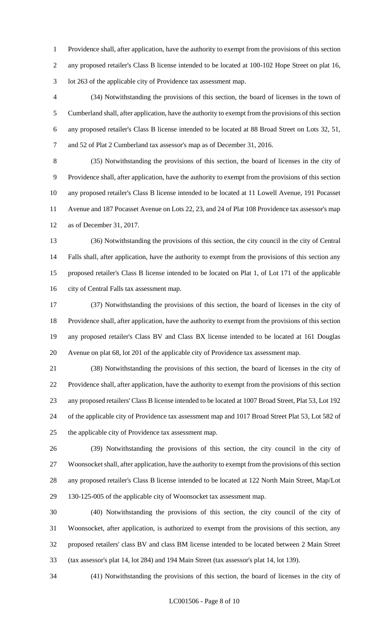Providence shall, after application, have the authority to exempt from the provisions of this section any proposed retailer's Class B license intended to be located at 100-102 Hope Street on plat 16, lot 263 of the applicable city of Providence tax assessment map.

 (34) Notwithstanding the provisions of this section, the board of licenses in the town of Cumberland shall, after application, have the authority to exempt from the provisions of this section any proposed retailer's Class B license intended to be located at 88 Broad Street on Lots 32, 51, and 52 of Plat 2 Cumberland tax assessor's map as of December 31, 2016.

 (35) Notwithstanding the provisions of this section, the board of licenses in the city of Providence shall, after application, have the authority to exempt from the provisions of this section any proposed retailer's Class B license intended to be located at 11 Lowell Avenue, 191 Pocasset Avenue and 187 Pocasset Avenue on Lots 22, 23, and 24 of Plat 108 Providence tax assessor's map as of December 31, 2017.

 (36) Notwithstanding the provisions of this section, the city council in the city of Central Falls shall, after application, have the authority to exempt from the provisions of this section any proposed retailer's Class B license intended to be located on Plat 1, of Lot 171 of the applicable city of Central Falls tax assessment map.

 (37) Notwithstanding the provisions of this section, the board of licenses in the city of Providence shall, after application, have the authority to exempt from the provisions of this section any proposed retailer's Class BV and Class BX license intended to be located at 161 Douglas Avenue on plat 68, lot 201 of the applicable city of Providence tax assessment map.

 (38) Notwithstanding the provisions of this section, the board of licenses in the city of Providence shall, after application, have the authority to exempt from the provisions of this section any proposed retailers' Class B license intended to be located at 1007 Broad Street, Plat 53, Lot 192 of the applicable city of Providence tax assessment map and 1017 Broad Street Plat 53, Lot 582 of the applicable city of Providence tax assessment map.

 (39) Notwithstanding the provisions of this section, the city council in the city of Woonsocket shall, after application, have the authority to exempt from the provisions of this section any proposed retailer's Class B license intended to be located at 122 North Main Street, Map/Lot 130-125-005 of the applicable city of Woonsocket tax assessment map.

 (40) Notwithstanding the provisions of this section, the city council of the city of Woonsocket, after application, is authorized to exempt from the provisions of this section, any proposed retailers' class BV and class BM license intended to be located between 2 Main Street (tax assessor's plat 14, lot 284) and 194 Main Street (tax assessor's plat 14, lot 139).

(41) Notwithstanding the provisions of this section, the board of licenses in the city of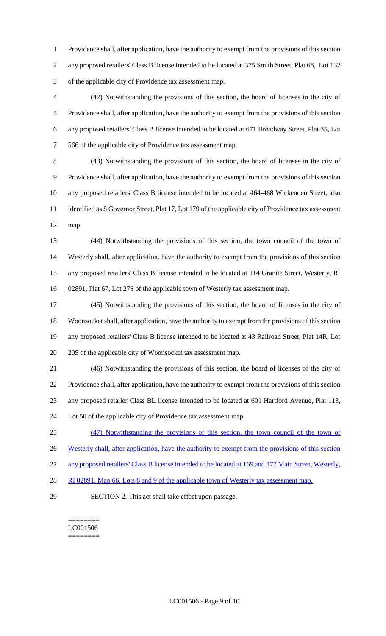Providence shall, after application, have the authority to exempt from the provisions of this section any proposed retailers' Class B license intended to be located at 375 Smith Street, Plat 68, Lot 132 of the applicable city of Providence tax assessment map.

 (42) Notwithstanding the provisions of this section, the board of licenses in the city of Providence shall, after application, have the authority to exempt from the provisions of this section any proposed retailers' Class B license intended to be located at 671 Broadway Street, Plat 35, Lot 566 of the applicable city of Providence tax assessment map.

 (43) Notwithstanding the provisions of this section, the board of licenses in the city of Providence shall, after application, have the authority to exempt from the provisions of this section any proposed retailers' Class B license intended to be located at 464-468 Wickenden Street, also identified as 8 Governor Street, Plat 17, Lot 179 of the applicable city of Providence tax assessment map.

 (44) Notwithstanding the provisions of this section, the town council of the town of Westerly shall, after application, have the authority to exempt from the provisions of this section any proposed retailers' Class B license intended to be located at 114 Granite Street, Westerly, RI 02891, Plat 67, Lot 278 of the applicable town of Westerly tax assessment map.

 (45) Notwithstanding the provisions of this section, the board of licenses in the city of Woonsocket shall, after application, have the authority to exempt from the provisions of this section any proposed retailers' Class B license intended to be located at 43 Railroad Street, Plat 14R, Lot 205 of the applicable city of Woonsocket tax assessment map.

 (46) Notwithstanding the provisions of this section, the board of licenses of the city of Providence shall, after application, have the authority to exempt from the provisions of this section any proposed retailer Class BL license intended to be located at 601 Hartford Avenue, Plat 113, Lot 50 of the applicable city of Providence tax assessment map.

(47) Notwithstanding the provisions of this section, the town council of the town of

26 Westerly shall, after application, have the authority to exempt from the provisions of this section

any proposed retailers' Class B license intended to be located at 169 and 177 Main Street, Westerly,

- 28 RI 02891, Map 66, Lots 8 and 9 of the applicable town of Westerly tax assessment map.
- 

SECTION 2. This act shall take effect upon passage.

======== LC001506 ========